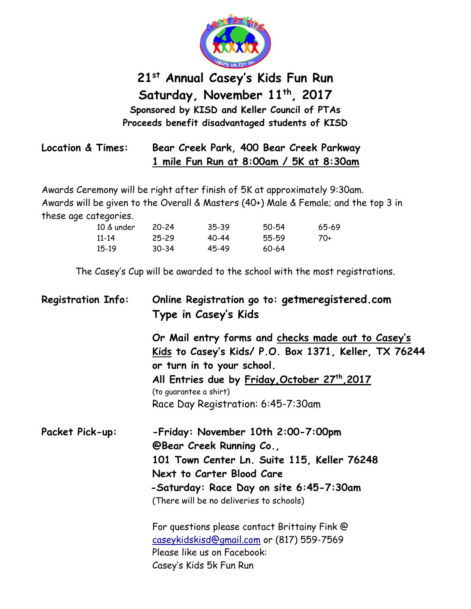

## **21st Annual Casey's Kids Fun Run Saturday, November 11th , 2017 Sponsored by KISD and Keller Council of PTAs Proceeds benefit disadvantaged students of KISD**

| Location & Times: | Bear Creek Park, 400 Bear Creek Parkway |
|-------------------|-----------------------------------------|
|                   | 1 mile Fun Run at 8:00am / 5K at 8:30am |

Awards Ceremony will be right after finish of 5K at approximately 9:30am. Awards will be given to the Overall & Masters (40+) Male & Female; and the top 3 in these age categories.

| 10 & under | 20-24     | 35-39     | 50-54 | 65-69 |
|------------|-----------|-----------|-------|-------|
| 11-14      | $25 - 29$ | $40 - 44$ | 55-59 | 70+   |
| 15-19      | $30 - 34$ | 45-49     | 60-64 |       |

The Casey's Cup will be awarded to the school with the most registrations.

| <b>Registration Info:</b> | Online Registration go to: getmeregistered.com<br>Type in Casey's Kids                     |  |  |
|---------------------------|--------------------------------------------------------------------------------------------|--|--|
|                           | Or Mail entry forms and checks made out to Casey's                                         |  |  |
|                           | <u>Kids</u> to Casey's Kids/ P.O. Box 1371, Keller, TX 76244<br>or turn in to your school. |  |  |
|                           | All Entries due by Friday, October 27th, 2017<br>(to guarantee a shirt)                    |  |  |
|                           | Race Day Registration: 6:45-7:30am                                                         |  |  |
| Packet Pick-up:           | -Friday: November 10th 2:00-7:00pm                                                         |  |  |
|                           | <b>@Bear Creek Running Co.,</b>                                                            |  |  |
|                           | 101 Town Center Ln. Suite 115, Keller 76248                                                |  |  |
|                           | Next to Carter Blood Care                                                                  |  |  |
|                           | -Saturday: Race Day on site 6:45-7:30am                                                    |  |  |
|                           | (There will be no deliveries to schools)                                                   |  |  |
|                           | For questions please contact Brittainy Fink @                                              |  |  |
|                           | caseykidskisd@gmail.com or (817) 559-7569                                                  |  |  |
|                           | Please like us on Facebook:                                                                |  |  |
|                           | Casey's Kids 5k Fun Run                                                                    |  |  |